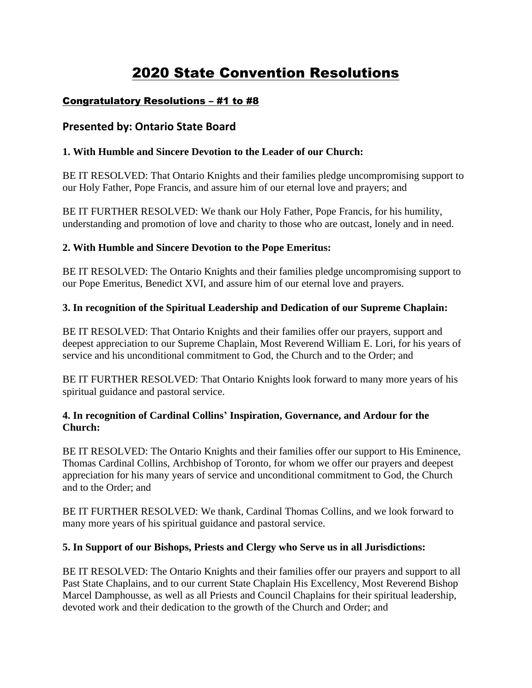# 2020 State Convention Resolutions

### Congratulatory Resolutions – #1 to #8

### **Presented by: Ontario State Board**

### **1. With Humble and Sincere Devotion to the Leader of our Church:**

BE IT RESOLVED: That Ontario Knights and their families pledge uncompromising support to our Holy Father, Pope Francis, and assure him of our eternal love and prayers; and

BE IT FURTHER RESOLVED: We thank our Holy Father, Pope Francis, for his humility, understanding and promotion of love and charity to those who are outcast, lonely and in need.

### **2. With Humble and Sincere Devotion to the Pope Emeritus:**

BE IT RESOLVED: The Ontario Knights and their families pledge uncompromising support to our Pope Emeritus, Benedict XVI, and assure him of our eternal love and prayers.

### **3. In recognition of the Spiritual Leadership and Dedication of our Supreme Chaplain:**

BE IT RESOLVED: That Ontario Knights and their families offer our prayers, support and deepest appreciation to our Supreme Chaplain, Most Reverend William E. Lori, for his years of service and his unconditional commitment to God, the Church and to the Order; and

BE IT FURTHER RESOLVED: That Ontario Knights look forward to many more years of his spiritual guidance and pastoral service.

### **4. In recognition of Cardinal Collins' Inspiration, Governance, and Ardour for the Church:**

BE IT RESOLVED: The Ontario Knights and their families offer our support to His Eminence, Thomas Cardinal Collins, Archbishop of Toronto, for whom we offer our prayers and deepest appreciation for his many years of service and unconditional commitment to God, the Church and to the Order; and

BE IT FURTHER RESOLVED: We thank, Cardinal Thomas Collins, and we look forward to many more years of his spiritual guidance and pastoral service.

#### **5. In Support of our Bishops, Priests and Clergy who Serve us in all Jurisdictions:**

BE IT RESOLVED: The Ontario Knights and their families offer our prayers and support to all Past State Chaplains, and to our current State Chaplain His Excellency, Most Reverend Bishop Marcel Damphousse, as well as all Priests and Council Chaplains for their spiritual leadership, devoted work and their dedication to the growth of the Church and Order; and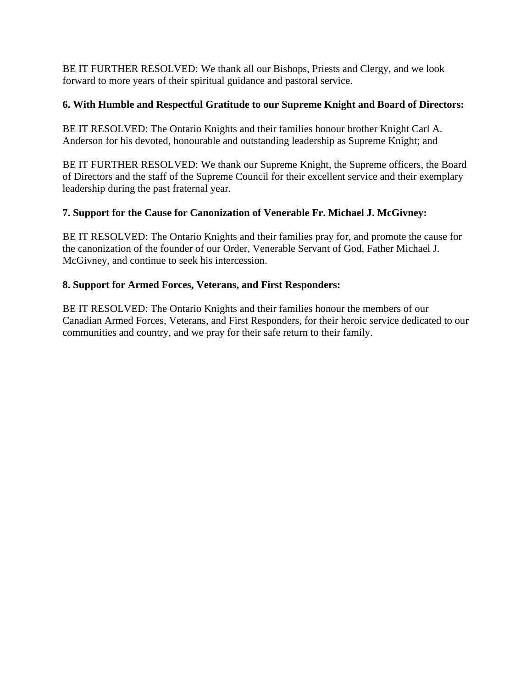BE IT FURTHER RESOLVED: We thank all our Bishops, Priests and Clergy, and we look forward to more years of their spiritual guidance and pastoral service.

### **6. With Humble and Respectful Gratitude to our Supreme Knight and Board of Directors:**

BE IT RESOLVED: The Ontario Knights and their families honour brother Knight Carl A. Anderson for his devoted, honourable and outstanding leadership as Supreme Knight; and

BE IT FURTHER RESOLVED: We thank our Supreme Knight, the Supreme officers, the Board of Directors and the staff of the Supreme Council for their excellent service and their exemplary leadership during the past fraternal year.

### **7. Support for the Cause for Canonization of Venerable Fr. Michael J. McGivney:**

BE IT RESOLVED: The Ontario Knights and their families pray for, and promote the cause for the canonization of the founder of our Order, Venerable Servant of God, Father Michael J. McGivney, and continue to seek his intercession.

### **8. Support for Armed Forces, Veterans, and First Responders:**

BE IT RESOLVED: The Ontario Knights and their families honour the members of our Canadian Armed Forces, Veterans, and First Responders, for their heroic service dedicated to our communities and country, and we pray for their safe return to their family.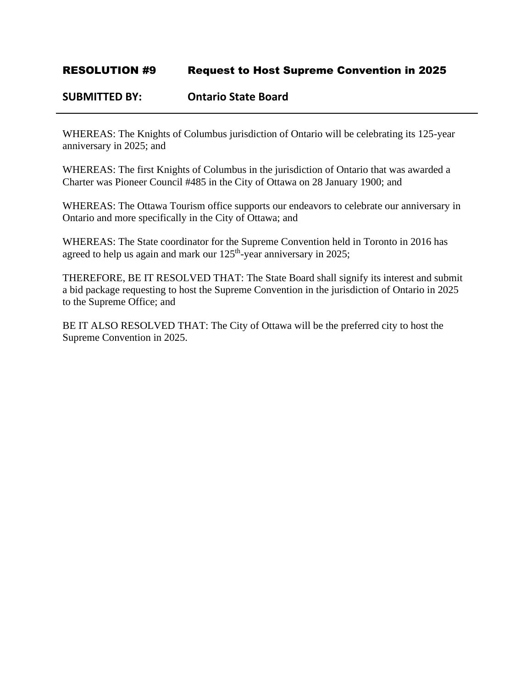### **SUBMITTED BY: Ontario State Board**

WHEREAS: The Knights of Columbus jurisdiction of Ontario will be celebrating its 125-year anniversary in 2025; and

WHEREAS: The first Knights of Columbus in the jurisdiction of Ontario that was awarded a Charter was Pioneer Council #485 in the City of Ottawa on 28 January 1900; and

WHEREAS: The Ottawa Tourism office supports our endeavors to celebrate our anniversary in Ontario and more specifically in the City of Ottawa; and

WHEREAS: The State coordinator for the Supreme Convention held in Toronto in 2016 has agreed to help us again and mark our  $125<sup>th</sup>$ -year anniversary in 2025;

THEREFORE, BE IT RESOLVED THAT: The State Board shall signify its interest and submit a bid package requesting to host the Supreme Convention in the jurisdiction of Ontario in 2025 to the Supreme Office; and

BE IT ALSO RESOLVED THAT: The City of Ottawa will be the preferred city to host the Supreme Convention in 2025.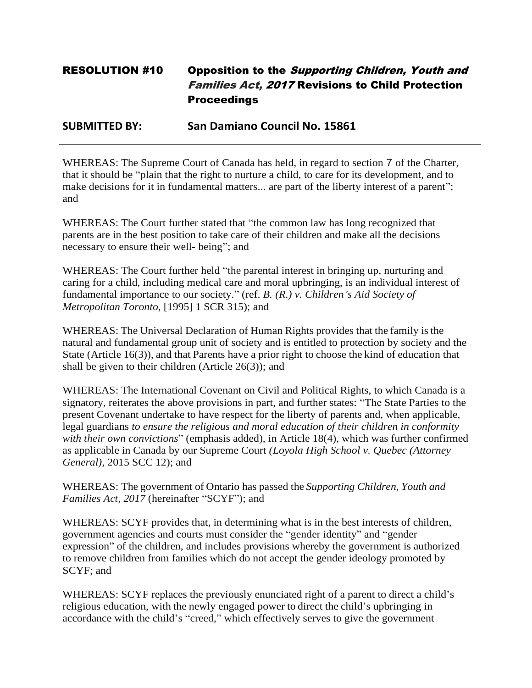# RESOLUTION #10 Opposition to the Supporting Children, Youth and Families Act, 2017 Revisions to Child Protection **Proceedings**

**SUBMITTED BY: San Damiano Council No. 15861**

WHEREAS: The Supreme Court of Canada has held, in regard to section 7 of the Charter, that it should be "plain that the right to nurture a child, to care for its development, and to make decisions for it in fundamental matters... are part of the liberty interest of a parent"; and

WHEREAS: The Court further stated that "the common law has long recognized that parents are in the best position to take care of their children and make all the decisions necessary to ensure their well- being"; and

WHEREAS: The Court further held "the parental interest in bringing up, nurturing and caring for a child, including medical care and moral upbringing, is an individual interest of fundamental importance to our society." (ref. *B. (R.) v. Children's Aid Society of Metropolitan Toronto,* [1995] 1 SCR 315); and

WHEREAS: The Universal Declaration of Human Rights provides that the family is the natural and fundamental group unit of society and is entitled to protection by society and the State (Article 16(3)), and that Parents have a prior right to choose the kind of education that shall be given to their children (Article 26(3)); and

WHEREAS: The International Covenant on Civil and Political Rights, to which Canada is a signatory, reiterates the above provisions in part, and further states: "The State Parties to the present Covenant undertake to have respect for the liberty of parents and, when applicable, legal guardians *to ensure the religious and moral education of their children in conformity with their own convictions*" (emphasis added), in Article 18(4), which was further confirmed as applicable in Canada by our Supreme Court *(Loyola High School v. Quebec (Attorney General),* 2015 SCC 12); and

WHEREAS: The government of Ontario has passed the *Supporting Children, Youth and Families Act, 2017* (hereinafter "SCYF"); and

WHEREAS: SCYF provides that, in determining what is in the best interests of children, government agencies and courts must consider the "gender identity" and "gender expression" of the children, and includes provisions whereby the government is authorized to remove children from families which do not accept the gender ideology promoted by SCYF; and

WHEREAS: SCYF replaces the previously enunciated right of a parent to direct a child's religious education, with the newly engaged power to direct the child's upbringing in accordance with the child's "creed," which effectively serves to give the government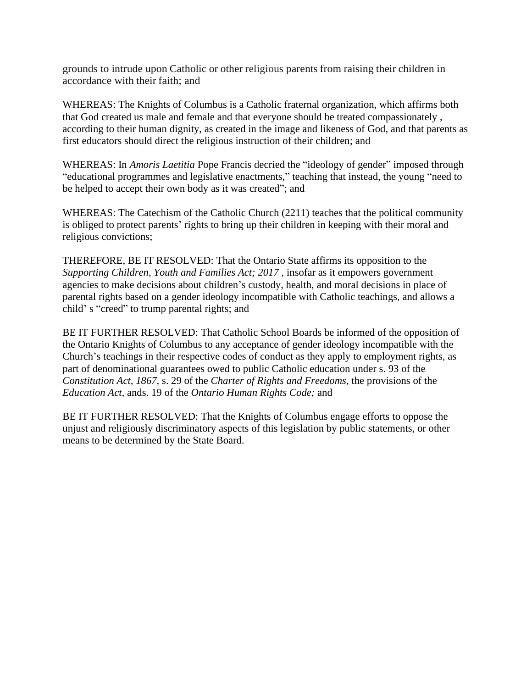grounds to intrude upon Catholic or other religious parents from raising their children in accordance with their faith; and

WHEREAS: The Knights of Columbus is a Catholic fraternal organization, which affirms both that God created us male and female and that everyone should be treated compassionately , according to their human dignity, as created in the image and likeness of God, and that parents as first educators should direct the religious instruction of their children; and

WHEREAS: In *Amoris Laetitia* Pope Francis decried the "ideology of gender" imposed through "educational programmes and legislative enactments," teaching that instead, the young "need to be helped to accept their own body as it was created"; and

WHEREAS: The Catechism of the Catholic Church (2211) teaches that the political community is obliged to protect parents' rights to bring up their children in keeping with their moral and religious convictions;

THEREFORE, BE IT RESOLVED: That the Ontario State affirms its opposition to the *Supporting Children, Youth and Families Act; 2017, insofar as it empowers government* agencies to make decisions about children's custody, health, and moral decisions in place of parental rights based on a gender ideology incompatible with Catholic teachings, and allows a child' s "creed" to trump parental rights; and

BE IT FURTHER RESOLVED: That Catholic School Boards be informed of the opposition of the Ontario Knights of Columbus to any acceptance of gender ideology incompatible with the Church's teachings in their respective codes of conduct as they apply to employment rights, as part of denominational guarantees owed to public Catholic education under s. 93 of the *Constitution Act, 1867,* s. 29 of the *Charter of Rights and Freedoms,* the provisions of the *Education Act,* ands. 19 of the *Ontario Human Rights Code;* and

BE IT FURTHER RESOLVED: That the Knights of Columbus engage efforts to oppose the unjust and religiously discriminatory aspects of this legislation by public statements, or other means to be determined by the State Board.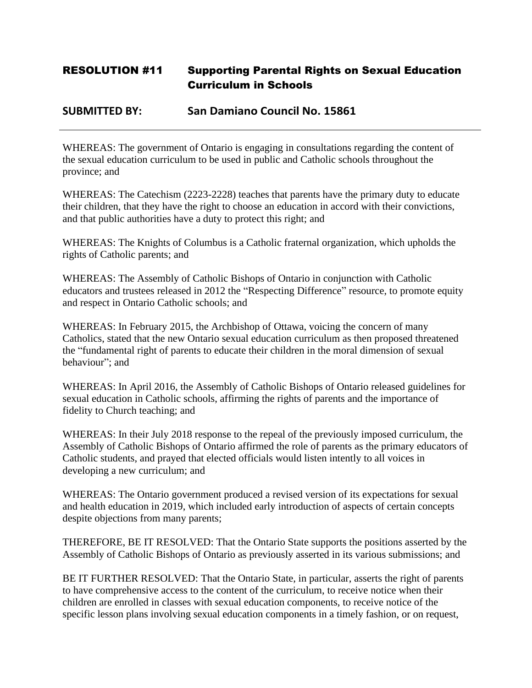# RESOLUTION #11 Supporting Parental Rights on Sexual Education Curriculum in Schools

### **SUBMITTED BY: San Damiano Council No. 15861**

WHEREAS: The government of Ontario is engaging in consultations regarding the content of the sexual education curriculum to be used in public and Catholic schools throughout the province; and

WHEREAS: The Catechism (2223-2228) teaches that parents have the primary duty to educate their children, that they have the right to choose an education in accord with their convictions, and that public authorities have a duty to protect this right; and

WHEREAS: The Knights of Columbus is a Catholic fraternal organization, which upholds the rights of Catholic parents; and

WHEREAS: The Assembly of Catholic Bishops of Ontario in conjunction with Catholic educators and trustees released in 2012 the "Respecting Difference" resource, to promote equity and respect in Ontario Catholic schools; and

WHEREAS: In February 2015, the Archbishop of Ottawa, voicing the concern of many Catholics, stated that the new Ontario sexual education curriculum as then proposed threatened the "fundamental right of parents to educate their children in the moral dimension of sexual behaviour"; and

WHEREAS: In April 2016, the Assembly of Catholic Bishops of Ontario released guidelines for sexual education in Catholic schools, affirming the rights of parents and the importance of fidelity to Church teaching; and

WHEREAS: In their July 2018 response to the repeal of the previously imposed curriculum, the Assembly of Catholic Bishops of Ontario affirmed the role of parents as the primary educators of Catholic students, and prayed that elected officials would listen intently to all voices in developing a new curriculum; and

WHEREAS: The Ontario government produced a revised version of its expectations for sexual and health education in 2019, which included early introduction of aspects of certain concepts despite objections from many parents;

THEREFORE, BE IT RESOLVED: That the Ontario State supports the positions asserted by the Assembly of Catholic Bishops of Ontario as previously asserted in its various submissions; and

BE IT FURTHER RESOLVED: That the Ontario State, in particular, asserts the right of parents to have comprehensive access to the content of the curriculum, to receive notice when their children are enrolled in classes with sexual education components, to receive notice of the specific lesson plans involving sexual education components in a timely fashion, or on request,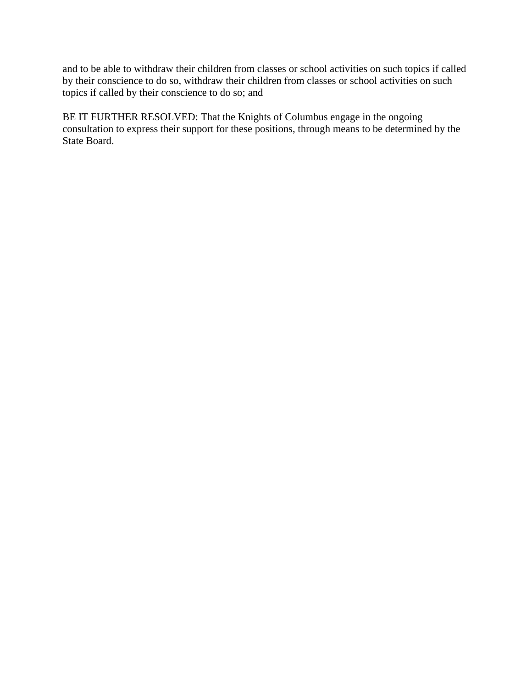and to be able to withdraw their children from classes or school activities on such topics if called by their conscience to do so, withdraw their children from classes or school activities on such topics if called by their conscience to do so; and

BE IT FURTHER RESOLVED: That the Knights of Columbus engage in the ongoing consultation to express their support for these positions, through means to be determined by the State Board.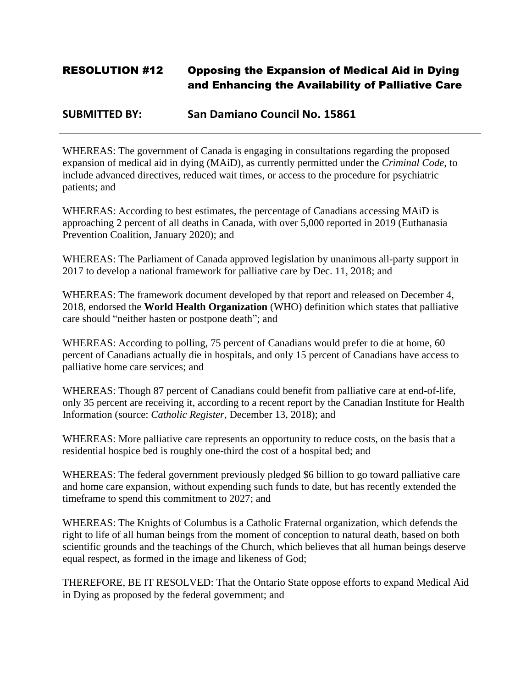# RESOLUTION #12 Opposing the Expansion of Medical Aid in Dying and Enhancing the Availability of Palliative Care

### **SUBMITTED BY: San Damiano Council No. 15861**

WHEREAS: The government of Canada is engaging in consultations regarding the proposed expansion of medical aid in dying (MAiD), as currently permitted under the *Criminal Code,* to include advanced directives, reduced wait times, or access to the procedure for psychiatric patients; and

WHEREAS: According to best estimates, the percentage of Canadians accessing MAiD is approaching 2 percent of all deaths in Canada, with over 5,000 reported in 2019 (Euthanasia Prevention Coalition, January 2020); and

WHEREAS: The Parliament of Canada approved legislation by unanimous all-party support in 2017 to develop a national framework for palliative care by Dec. 11, 2018; and

WHEREAS: The framework document developed by that report and released on December 4, 2018, endorsed the **World Health Organization** (WHO) definition which states that palliative care should "neither hasten or postpone death"; and

WHEREAS: According to polling, 75 percent of Canadians would prefer to die at home, 60 percent of Canadians actually die in hospitals, and only 15 percent of Canadians have access to palliative home care services; and

WHEREAS: Though 87 percent of Canadians could benefit from palliative care at end-of-life, only 35 percent are receiving it, according to a recent report by the Canadian Institute for Health Information (source: *Catholic Register*, December 13, 2018); and

WHEREAS: More palliative care represents an opportunity to reduce costs, on the basis that a residential hospice bed is roughly one-third the cost of a hospital bed; and

WHEREAS: The federal government previously pledged \$6 billion to go toward palliative care and home care expansion, without expending such funds to date, but has recently extended the timeframe to spend this commitment to 2027; and

WHEREAS: The Knights of Columbus is a Catholic Fraternal organization, which defends the right to life of all human beings from the moment of conception to natural death, based on both scientific grounds and the teachings of the Church, which believes that all human beings deserve equal respect, as formed in the image and likeness of God;

THEREFORE, BE IT RESOLVED: That the Ontario State oppose efforts to expand Medical Aid in Dying as proposed by the federal government; and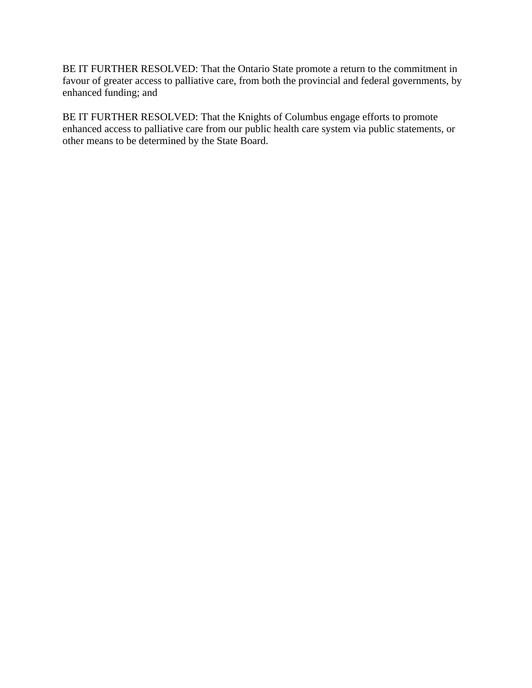BE IT FURTHER RESOLVED: That the Ontario State promote a return to the commitment in favour of greater access to palliative care, from both the provincial and federal governments, by enhanced funding; and

BE IT FURTHER RESOLVED: That the Knights of Columbus engage efforts to promote enhanced access to palliative care from our public health care system via public statements, or other means to be determined by the State Board.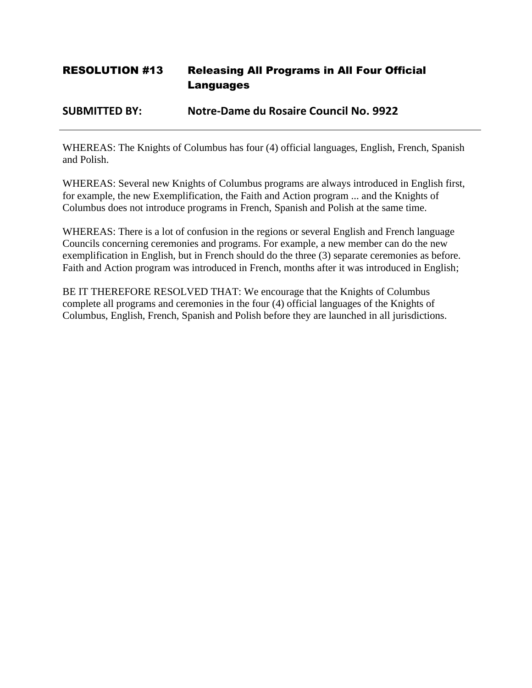# RESOLUTION #13 Releasing All Programs in All Four Official Languages

### **SUBMITTED BY: Notre-Dame du Rosaire Council No. 9922**

WHEREAS: The Knights of Columbus has four (4) official languages, English, French, Spanish and Polish.

WHEREAS: Several new Knights of Columbus programs are always introduced in English first, for example, the new Exemplification, the Faith and Action program ... and the Knights of Columbus does not introduce programs in French, Spanish and Polish at the same time.

WHEREAS: There is a lot of confusion in the regions or several English and French language Councils concerning ceremonies and programs. For example, a new member can do the new exemplification in English, but in French should do the three (3) separate ceremonies as before. Faith and Action program was introduced in French, months after it was introduced in English;

BE IT THEREFORE RESOLVED THAT: We encourage that the Knights of Columbus complete all programs and ceremonies in the four (4) official languages of the Knights of Columbus, English, French, Spanish and Polish before they are launched in all jurisdictions.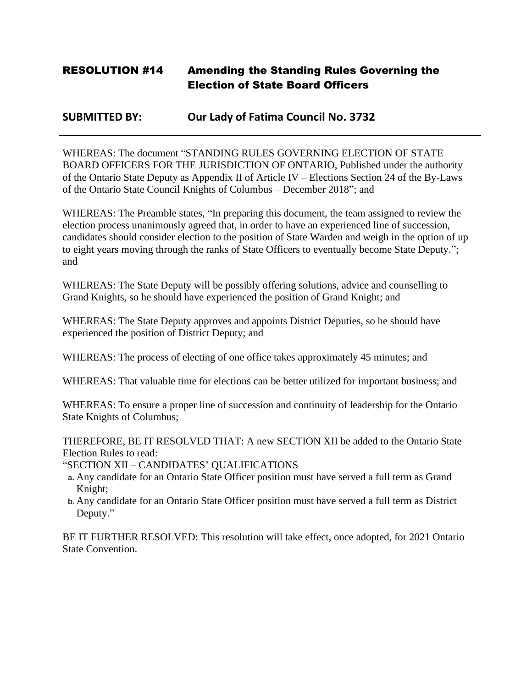# RESOLUTION #14 Amending the Standing Rules Governing the Election of State Board Officers

### **SUBMITTED BY: Our Lady of Fatima Council No. 3732**

WHEREAS: The document "STANDING RULES GOVERNING ELECTION OF STATE BOARD OFFICERS FOR THE JURISDICTION OF ONTARIO, Published under the authority of the Ontario State Deputy as Appendix II of Article IV – Elections Section 24 of the By-Laws of the Ontario State Council Knights of Columbus – December 2018"; and

WHEREAS: The Preamble states, "In preparing this document, the team assigned to review the election process unanimously agreed that, in order to have an experienced line of succession, candidates should consider election to the position of State Warden and weigh in the option of up to eight years moving through the ranks of State Officers to eventually become State Deputy."; and

WHEREAS: The State Deputy will be possibly offering solutions, advice and counselling to Grand Knights, so he should have experienced the position of Grand Knight; and

WHEREAS: The State Deputy approves and appoints District Deputies, so he should have experienced the position of District Deputy; and

WHEREAS: The process of electing of one office takes approximately 45 minutes; and

WHEREAS: That valuable time for elections can be better utilized for important business; and

WHEREAS: To ensure a proper line of succession and continuity of leadership for the Ontario State Knights of Columbus;

THEREFORE, BE IT RESOLVED THAT: A new SECTION XII be added to the Ontario State Election Rules to read:

"SECTION XII – CANDIDATES' QUALIFICATIONS

- **a.** Any candidate for an Ontario State Officer position must have served a full term as Grand Knight;
- **b.**Any candidate for an Ontario State Officer position must have served a full term as District Deputy."

BE IT FURTHER RESOLVED: This resolution will take effect, once adopted, for 2021 Ontario State Convention.